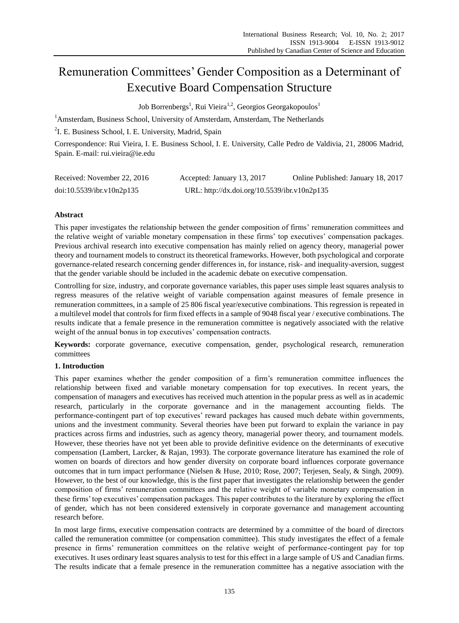# Remuneration Committees' Gender Composition as a Determinant of Executive Board Compensation Structure

Job Borrenbergs<sup>1</sup>, Rui Vieira<sup>1,2</sup>, Georgios Georgakopoulos<sup>1</sup>

 $1$ Amsterdam, Business School, University of Amsterdam, Amsterdam, The Netherlands

<sup>2</sup>I. E. Business School, I. E. University, Madrid, Spain

Correspondence: Rui Vieira, I. E. Business School, I. E. University, Calle Pedro de Valdivia, 21, 28006 Madrid, Spain. E-mail: rui.vieira@ie.edu

| Received: November 22, 2016 | Accepted: January 13, 2017                   | Online Published: January 18, 2017 |
|-----------------------------|----------------------------------------------|------------------------------------|
| doi:10.5539/ibr.v10n2p135   | URL: http://dx.doi.org/10.5539/ibr.v10n2p135 |                                    |

# **Abstract**

This paper investigates the relationship between the gender composition of firms' remuneration committees and the relative weight of variable monetary compensation in these firms' top executives' compensation packages. Previous archival research into executive compensation has mainly relied on agency theory, managerial power theory and tournament models to construct its theoretical frameworks. However, both psychological and corporate governance-related research concerning gender differences in, for instance, risk- and inequality-aversion, suggest that the gender variable should be included in the academic debate on executive compensation.

Controlling for size, industry, and corporate governance variables, this paper uses simple least squares analysis to regress measures of the relative weight of variable compensation against measures of female presence in remuneration committees, in a sample of 25 806 fiscal year/executive combinations. This regression is repeated in a multilevel model that controls for firm fixed effects in a sample of 9048 fiscal year / executive combinations. The results indicate that a female presence in the remuneration committee is negatively associated with the relative weight of the annual bonus in top executives' compensation contracts.

**Keywords:** corporate governance, executive compensation, gender, psychological research, remuneration committees

# **1. Introduction**

This paper examines whether the gender composition of a firm's remuneration committee influences the relationship between fixed and variable monetary compensation for top executives. In recent years, the compensation of managers and executives has received much attention in the popular press as well as in academic research, particularly in the corporate governance and in the management accounting fields. The performance-contingent part of top executives' reward packages has caused much debate within governments, unions and the investment community. Several theories have been put forward to explain the variance in pay practices across firms and industries, such as agency theory, managerial power theory, and tournament models. However, these theories have not yet been able to provide definitive evidence on the determinants of executive compensation (Lambert, Larcker, & Rajan, 1993). The corporate governance literature has examined the role of women on boards of directors and how gender diversity on corporate board influences corporate governance outcomes that in turn impact performance (Nielsen & Huse, 2010; Rose, 2007; Terjesen, Sealy, & Singh, 2009). However, to the best of our knowledge, this is the first paper that investigates the relationship between the gender composition of firms' remuneration committees and the relative weight of variable monetary compensation in these firms' top executives' compensation packages. This paper contributes to the literature by exploring the effect of gender, which has not been considered extensively in corporate governance and management accounting research before.

In most large firms, executive compensation contracts are determined by a committee of the board of directors called the remuneration committee (or compensation committee). This study investigates the effect of a female presence in firms' remuneration committees on the relative weight of performance-contingent pay for top executives. It uses ordinary least squares analysis to test for this effect in a large sample of US and Canadian firms. The results indicate that a female presence in the remuneration committee has a negative association with the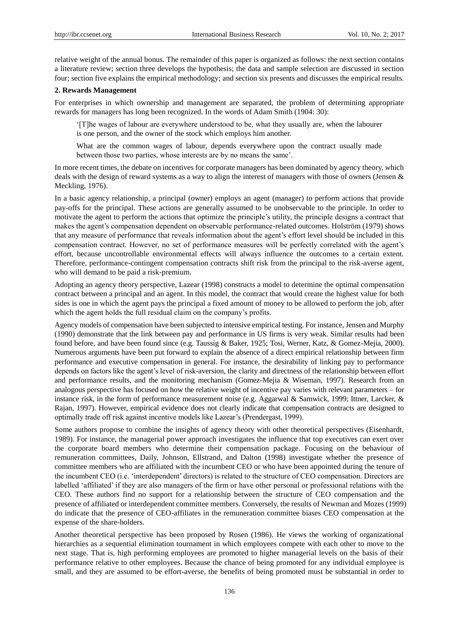relative weight of the annual bonus. The remainder of this paper is organized as follows: the next section contains a literature review; section three develops the hypothesis; the data and sample selection are discussed in section four; section five explains the empirical methodology; and section six presents and discusses the empirical results.

# **2. Rewards Management**

For enterprises in which ownership and management are separated, the problem of determining appropriate rewards for managers has long been recognized. In the words of Adam Smith (1904: 30):

'[T]he wages of labour are everywhere understood to be, what they usually are, when the labourer is one person, and the owner of the stock which employs him another.

What are the common wages of labour, depends everywhere upon the contract usually made between those two parties, whose interests are by no means the same'.

In more recent times, the debate on incentives for corporate managers has been dominated by agency theory, which deals with the design of reward systems as a way to align the interest of managers with those of owners (Jensen & Meckling, 1976).

In a basic agency relationship, a principal (owner) employs an agent (manager) to perform actions that provide pay-offs for the principal. These actions are generally assumed to be unobservable to the principle. In order to motivate the agent to perform the actions that optimize the principle's utility, the principle designs a contract that makes the agent's compensation dependent on observable performance-related outcomes. Holström (1979) shows that any measure of performance that reveals information about the agent's effort level should be included in this compensation contract. However, no set of performance measures will be perfectly correlated with the agent's effort, because uncontrollable environmental effects will always influence the outcomes to a certain extent. Therefore, performance-contingent compensation contracts shift risk from the principal to the risk-averse agent, who will demand to be paid a risk-premium.

Adopting an agency theory perspective, Lazear (1998) constructs a model to determine the optimal compensation contract between a principal and an agent. In this model, the contract that would create the highest value for both sides is one in which the agent pays the principal a fixed amount of money to be allowed to perform the job, after which the agent holds the full residual claim on the company's profits.

Agency models of compensation have been subjected to intensive empirical testing. For instance, Jensen and Murphy (1990) demonstrate that the link between pay and performance in US firms is very weak. Similar results had been found before, and have been found since (e.g. Taussig & Baker, 1925; Tosi, Werner, Katz, & Gomez-Mejia, 2000). Numerous arguments have been put forward to explain the absence of a direct empirical relationship between firm performance and executive compensation in general. For instance, the desirability of linking pay to performance depends on factors like the agent's level of risk-aversion, the clarity and directness of the relationship between effort and performance results, and the monitoring mechanism (Gomez-Mejia & Wiseman, 1997). Research from an analogous perspective has focused on how the relative weight of incentive pay varies with relevant parameters – for instance risk, in the form of performance measurement noise (e.g. Aggarwal & Samwick, 1999; Ittner, Larcker, & Rajan, 1997). However, empirical evidence does not clearly indicate that compensation contracts are designed to optimally trade off risk against incentive models like Lazear's (Prendergast, 1999).

Some authors propose to combine the insights of agency theory with other theoretical perspectives (Eisenhardt, 1989). For instance, the managerial power approach investigates the influence that top executives can exert over the corporate board members who determine their compensation package. Focusing on the behaviour of remuneration committees, Daily, Johnson, Ellstrand, and Dalton (1998) investigate whether the presence of committee members who are affiliated with the incumbent CEO or who have been appointed during the tenure of the incumbent CEO (i.e. 'interdependent' directors) is related to the structure of CEO compensation. Directors are labelled 'affiliated' if they are also managers of the firm or have other personal or professional relations with the CEO. These authors find no support for a relationship between the structure of CEO compensation and the presence of affiliated or interdependent committee members. Conversely, the results of Newman and Mozes (1999) do indicate that the presence of CEO-affiliates in the remuneration committee biases CEO compensation at the expense of the share-holders.

Another theoretical perspective has been proposed by Rosen (1986). He views the working of organizational hierarchies as a sequential elimination tournament in which employees compete with each other to move to the next stage. That is, high performing employees are promoted to higher managerial levels on the basis of their performance relative to other employees. Because the chance of being promoted for any individual employee is small, and they are assumed to be effort-averse, the benefits of being promoted must be substantial in order to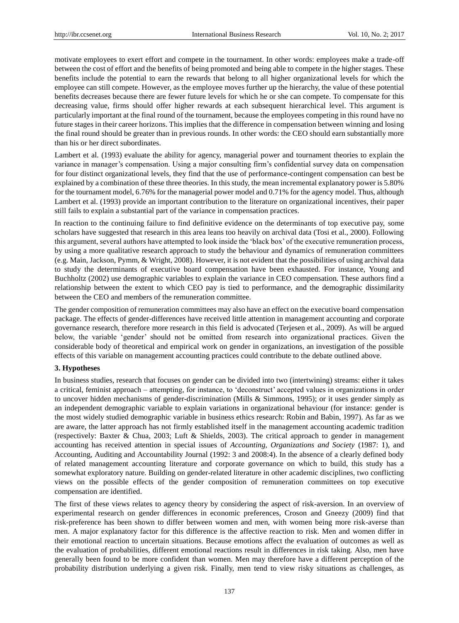motivate employees to exert effort and compete in the tournament. In other words: employees make a trade-off between the cost of effort and the benefits of being promoted and being able to compete in the higher stages. These benefits include the potential to earn the rewards that belong to all higher organizational levels for which the employee can still compete. However, as the employee moves further up the hierarchy, the value of these potential benefits decreases because there are fewer future levels for which he or she can compete. To compensate for this decreasing value, firms should offer higher rewards at each subsequent hierarchical level. This argument is particularly important at the final round of the tournament, because the employees competing in this round have no future stages in their career horizons. This implies that the difference in compensation between winning and losing the final round should be greater than in previous rounds. In other words: the CEO should earn substantially more than his or her direct subordinates.

Lambert et al. (1993) evaluate the ability for agency, managerial power and tournament theories to explain the variance in manager's compensation. Using a major consulting firm's confidential survey data on compensation for four distinct organizational levels, they find that the use of performance-contingent compensation can best be explained by a combination of these three theories. In this study, the mean incremental explanatory power is 5.80% for the tournament model, 6.76% for the managerial power model and 0.71% for the agency model. Thus, although Lambert et al. (1993) provide an important contribution to the literature on organizational incentives, their paper still fails to explain a substantial part of the variance in compensation practices.

In reaction to the continuing failure to find definitive evidence on the determinants of top executive pay, some scholars have suggested that research in this area leans too heavily on archival data (Tosi et al., 2000). Following this argument, several authors have attempted to look inside the 'black box' of the executive remuneration process, by using a more qualitative research approach to study the behaviour and dynamics of remuneration committees (e.g. Main, Jackson, Pymm, & Wright, 2008). However, it is not evident that the possibilities of using archival data to study the determinants of executive board compensation have been exhausted. For instance, Young and Buchholtz (2002) use demographic variables to explain the variance in CEO compensation. These authors find a relationship between the extent to which CEO pay is tied to performance, and the demographic dissimilarity between the CEO and members of the remuneration committee.

The gender composition of remuneration committees may also have an effect on the executive board compensation package. The effects of gender-differences have received little attention in management accounting and corporate governance research, therefore more research in this field is advocated (Terjesen et al., 2009). As will be argued below, the variable 'gender' should not be omitted from research into organizational practices. Given the considerable body of theoretical and empirical work on gender in organizations, an investigation of the possible effects of this variable on management accounting practices could contribute to the debate outlined above.

# **3. Hypotheses**

In business studies, research that focuses on gender can be divided into two (intertwining) streams: either it takes a critical, feminist approach – attempting, for instance, to 'deconstruct' accepted values in organizations in order to uncover hidden mechanisms of gender-discrimination (Mills & Simmons, 1995); or it uses gender simply as an independent demographic variable to explain variations in organizational behaviour (for instance: gender is the most widely studied demographic variable in business ethics research: Robin and Babin, 1997). As far as we are aware, the latter approach has not firmly established itself in the management accounting academic tradition (respectively: Baxter & Chua, 2003; Luft & Shields, 2003). The critical approach to gender in management accounting has received attention in special issues of *Accounting, Organizations and Society* (1987: 1), and Accounting, Auditing and Accountability Journal (1992: 3 and 2008:4). In the absence of a clearly defined body of related management accounting literature and corporate governance on which to build, this study has a somewhat exploratory nature. Building on gender-related literature in other academic disciplines, two conflicting views on the possible effects of the gender composition of remuneration committees on top executive compensation are identified.

The first of these views relates to agency theory by considering the aspect of risk-aversion. In an overview of experimental research on gender differences in economic preferences, Croson and Gneezy (2009) find that risk-preference has been shown to differ between women and men, with women being more risk-averse than men. A major explanatory factor for this difference is the affective reaction to risk. Men and women differ in their emotional reaction to uncertain situations. Because emotions affect the evaluation of outcomes as well as the evaluation of probabilities, different emotional reactions result in differences in risk taking. Also, men have generally been found to be more confident than women. Men may therefore have a different perception of the probability distribution underlying a given risk. Finally, men tend to view risky situations as challenges, as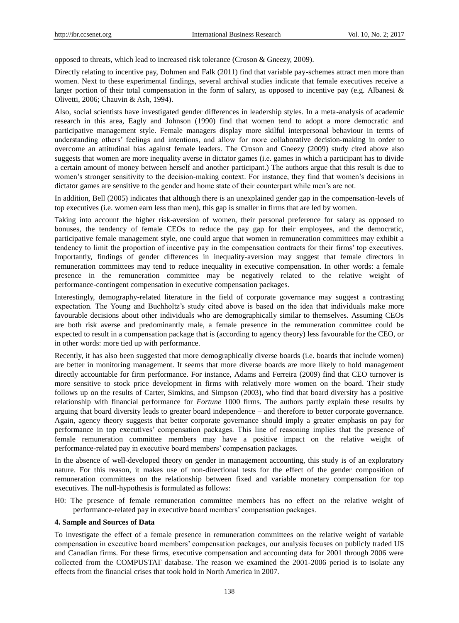opposed to threats, which lead to increased risk tolerance (Croson & Gneezy, 2009).

Directly relating to incentive pay, Dohmen and Falk (2011) find that variable pay-schemes attract men more than women. Next to these experimental findings, several archival studies indicate that female executives receive a larger portion of their total compensation in the form of salary, as opposed to incentive pay (e.g. Albanesi  $\&$ Olivetti, 2006; Chauvin & Ash, 1994).

Also, social scientists have investigated gender differences in leadership styles. In a meta-analysis of academic research in this area, Eagly and Johnson (1990) find that women tend to adopt a more democratic and participative management style. Female managers display more skilful interpersonal behaviour in terms of understanding others' feelings and intentions, and allow for more collaborative decision-making in order to overcome an attitudinal bias against female leaders. The Croson and Gneezy (2009) study cited above also suggests that women are more inequality averse in dictator games (i.e. games in which a participant has to divide a certain amount of money between herself and another participant.) The authors argue that this result is due to women's stronger sensitivity to the decision-making context. For instance, they find that women's decisions in dictator games are sensitive to the gender and home state of their counterpart while men's are not.

In addition, Bell (2005) indicates that although there is an unexplained gender gap in the compensation-levels of top executives (i.e. women earn less than men), this gap is smaller in firms that are led by women.

Taking into account the higher risk-aversion of women, their personal preference for salary as opposed to bonuses, the tendency of female CEOs to reduce the pay gap for their employees, and the democratic, participative female management style, one could argue that women in remuneration committees may exhibit a tendency to limit the proportion of incentive pay in the compensation contracts for their firms' top executives. Importantly, findings of gender differences in inequality-aversion may suggest that female directors in remuneration committees may tend to reduce inequality in executive compensation. In other words: a female presence in the remuneration committee may be negatively related to the relative weight of performance-contingent compensation in executive compensation packages.

Interestingly, demography-related literature in the field of corporate governance may suggest a contrasting expectation. The Young and Buchholtz's study cited above is based on the idea that individuals make more favourable decisions about other individuals who are demographically similar to themselves. Assuming CEOs are both risk averse and predominantly male, a female presence in the remuneration committee could be expected to result in a compensation package that is (according to agency theory) less favourable for the CEO, or in other words: more tied up with performance.

Recently, it has also been suggested that more demographically diverse boards (i.e. boards that include women) are better in monitoring management. It seems that more diverse boards are more likely to hold management directly accountable for firm performance. For instance, Adams and Ferreira (2009) find that CEO turnover is more sensitive to stock price development in firms with relatively more women on the board. Their study follows up on the results of Carter, Simkins, and Simpson (2003), who find that board diversity has a positive relationship with financial performance for *Fortune* 1000 firms. The authors partly explain these results by arguing that board diversity leads to greater board independence – and therefore to better corporate governance. Again, agency theory suggests that better corporate governance should imply a greater emphasis on pay for performance in top executives' compensation packages. This line of reasoning implies that the presence of female remuneration committee members may have a positive impact on the relative weight of performance-related pay in executive board members' compensation packages.

In the absence of well-developed theory on gender in management accounting, this study is of an exploratory nature. For this reason, it makes use of non-directional tests for the effect of the gender composition of remuneration committees on the relationship between fixed and variable monetary compensation for top executives. The null-hypothesis is formulated as follows:

H0: The presence of female remuneration committee members has no effect on the relative weight of performance-related pay in executive board members' compensation packages.

## **4. Sample and Sources of Data**

To investigate the effect of a female presence in remuneration committees on the relative weight of variable compensation in executive board members' compensation packages, our analysis focuses on publicly traded US and Canadian firms. For these firms, executive compensation and accounting data for 2001 through 2006 were collected from the COMPUSTAT database. The reason we examined the 2001-2006 period is to isolate any effects from the financial crises that took hold in North America in 2007.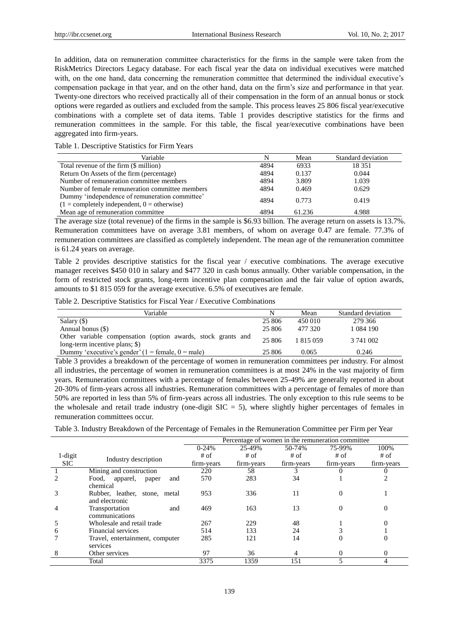In addition, data on remuneration committee characteristics for the firms in the sample were taken from the RiskMetrics Directors Legacy database. For each fiscal year the data on individual executives were matched with, on the one hand, data concerning the remuneration committee that determined the individual executive's compensation package in that year, and on the other hand, data on the firm's size and performance in that year. Twenty-one directors who received practically all of their compensation in the form of an annual bonus or stock options were regarded as outliers and excluded from the sample. This process leaves 25 806 fiscal year/executive combinations with a complete set of data items. Table 1 provides descriptive statistics for the firms and remuneration committees in the sample. For this table, the fiscal year/executive combinations have been aggregated into firm-years.

Table 1. Descriptive Statistics for Firm Years

| Variable                                                                                                      | N    | Mean   | Standard deviation |
|---------------------------------------------------------------------------------------------------------------|------|--------|--------------------|
| Total revenue of the firm (\$ million)                                                                        | 4894 | 6933   | 18 3 5 1           |
| Return On Assets of the firm (percentage)                                                                     | 4894 | 0.137  | 0.044              |
| Number of remuneration committee members                                                                      | 4894 | 3.809  | 1.039              |
| Number of female remuneration committee members                                                               | 4894 | 0.469  | 0.629              |
| Dummy 'independence of remuneration committee'<br>$(1 = \text{completely independent}, 0 = \text{otherwise})$ | 4894 | 0.773  | 0.419              |
| Mean age of remuneration committee.                                                                           | 4894 | 61.236 | 4.988              |

The average size (total revenue) of the firms in the sample is \$6.93 billion. The average return on assets is 13.7%. Remuneration committees have on average 3.81 members, of whom on average 0.47 are female. 77.3% of remuneration committees are classified as completely independent. The mean age of the remuneration committee is 61.24 years on average.

Table 2 provides descriptive statistics for the fiscal year / executive combinations. The average executive manager receives \$450 010 in salary and \$477 320 in cash bonus annually. Other variable compensation, in the form of restricted stock grants, long-term incentive plan compensation and the fair value of option awards, amounts to \$1 815 059 for the average executive. 6.5% of executives are female.

Table 2. Descriptive Statistics for Fiscal Year / Executive Combinations

| Variable                                                                                       | N      | Mean      | Standard deviation |
|------------------------------------------------------------------------------------------------|--------|-----------|--------------------|
| Salary $($ )                                                                                   | 25 806 | 450 010   | 279 366            |
| Annual bonus (\$)                                                                              | 25 806 | 477 320   | 1 084 190          |
| Other variable compensation (option awards, stock grants and<br>long-term incentive plans; \$) | 25 806 | 1 815 059 | 3 741 002          |
| Dummy 'executive's gender' $(1 = \text{female}, 0 = \text{male})$                              | 25 806 | 0.065     | 0.246              |

Table 3 provides a breakdown of the percentage of women in remuneration committees per industry. For almost all industries, the percentage of women in remuneration committees is at most 24% in the vast majority of firm years. Remuneration committees with a percentage of females between 25-49% are generally reported in about 20-30% of firm-years across all industries. Remuneration committees with a percentage of females of more than 50% are reported in less than 5% of firm-years across all industries. The only exception to this rule seems to be the wholesale and retail trade industry (one-digit  $SIC = 5$ ), where slightly higher percentages of females in remuneration committees occur.

Table 3. Industry Breakdown of the Percentage of Females in the Remuneration Committee per Firm per Year

|            |                                                 | Percentage of women in the remuneration committee |            |            |            |            |  |
|------------|-------------------------------------------------|---------------------------------------------------|------------|------------|------------|------------|--|
|            |                                                 | $0-24%$                                           | 25-49%     | 50-74%     | 75-99%     | 100%       |  |
| 1-digit    | Industry description                            | # of                                              | $#$ of     | $#$ of     | # of       | $#$ of     |  |
| <b>SIC</b> |                                                 | firm-years                                        | firm-years | firm-years | firm-years | firm-years |  |
|            | Mining and construction                         | 220                                               | 58         |            |            |            |  |
|            | apparel,<br>Food,<br>and<br>paper<br>chemical   | 570                                               | 283        | 34         |            | 2          |  |
|            | Rubber, leather, stone, metal<br>and electronic | 953                                               | 336        | 11         | 0          |            |  |
|            | Transportation<br>and<br>communications         | 469                                               | 163        | 13         |            | 0          |  |
|            | Wholesale and retail trade                      | 267                                               | 229        | 48         |            |            |  |
| 6          | Financial services                              | 514                                               | 133        | 24         |            |            |  |
|            | Travel, entertainment, computer<br>services     | 285                                               | 121        | 14         |            | O          |  |
|            | Other services                                  | 97                                                | 36         |            |            | 0          |  |
|            | Total                                           | 3375                                              | 1359       | 151        |            |            |  |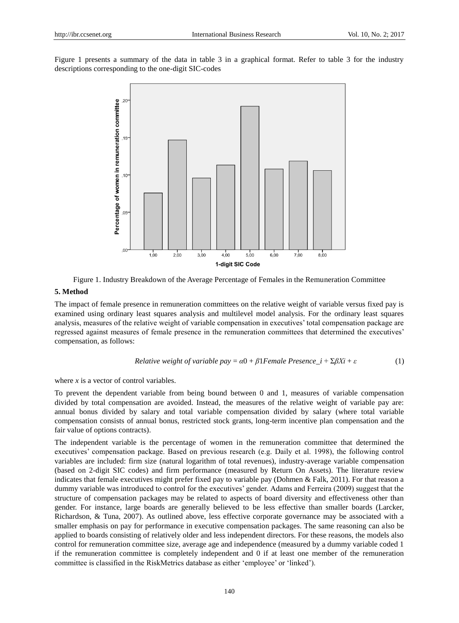Figure 1 presents a summary of the data in table 3 in a graphical format. Refer to table 3 for the industry descriptions corresponding to the one-digit SIC-codes



Figure 1. Industry Breakdown of the Average Percentage of Females in the Remuneration Committee

#### **5. Method**

The impact of female presence in remuneration committees on the relative weight of variable versus fixed pay is examined using ordinary least squares analysis and multilevel model analysis. For the ordinary least squares analysis, measures of the relative weight of variable compensation in executives' total compensation package are regressed against measures of female presence in the remuneration committees that determined the executives' compensation, as follows:

*Relative weight of variable pay* = 
$$
\alpha
$$
0 +  $\beta$ 1*Female Presence* i +  $\Sigma \beta X$ i +  $\varepsilon$  (1)

where *x* is a vector of control variables.

To prevent the dependent variable from being bound between 0 and 1, measures of variable compensation divided by total compensation are avoided. Instead, the measures of the relative weight of variable pay are: annual bonus divided by salary and total variable compensation divided by salary (where total variable compensation consists of annual bonus, restricted stock grants, long-term incentive plan compensation and the fair value of options contracts).

The independent variable is the percentage of women in the remuneration committee that determined the executives' compensation package. Based on previous research (e.g. Daily et al. 1998), the following control variables are included: firm size (natural logarithm of total revenues), industry-average variable compensation (based on 2-digit SIC codes) and firm performance (measured by Return On Assets). The literature review indicates that female executives might prefer fixed pay to variable pay (Dohmen & Falk, 2011). For that reason a dummy variable was introduced to control for the executives' gender. Adams and Ferreira (2009) suggest that the structure of compensation packages may be related to aspects of board diversity and effectiveness other than gender. For instance, large boards are generally believed to be less effective than smaller boards (Larcker, Richardson, & Tuna, 2007). As outlined above, less effective corporate governance may be associated with a smaller emphasis on pay for performance in executive compensation packages. The same reasoning can also be applied to boards consisting of relatively older and less independent directors. For these reasons, the models also control for remuneration committee size, average age and independence (measured by a dummy variable coded 1 if the remuneration committee is completely independent and 0 if at least one member of the remuneration committee is classified in the RiskMetrics database as either 'employee' or 'linked').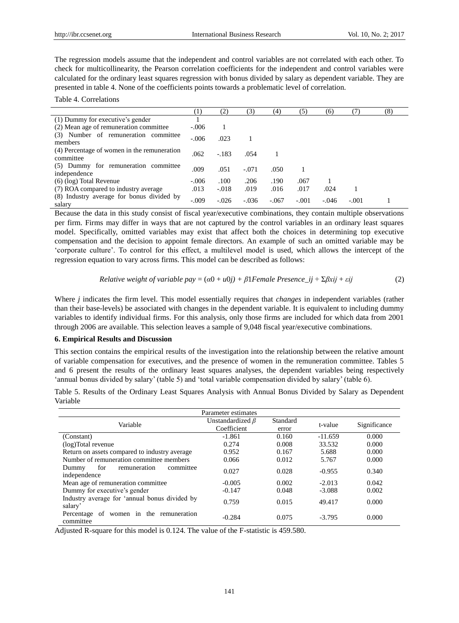The regression models assume that the independent and control variables are not correlated with each other. To check for multicollinearity, the Pearson correlation coefficients for the independent and control variables were calculated for the ordinary least squares regression with bonus divided by salary as dependent variable. They are presented in table 4. None of the coefficients points towards a problematic level of correlation.

Table 4. Correlations

|                                                          | $^{(1)}$ | (2)     | (3)     | (4)     | (5)     | (6)     | (7)     | (8) |
|----------------------------------------------------------|----------|---------|---------|---------|---------|---------|---------|-----|
| (1) Dummy for executive's gender                         |          |         |         |         |         |         |         |     |
| (2) Mean age of remuneration committee                   | $-.006$  |         |         |         |         |         |         |     |
| (3) Number of remuneration committee<br>members          | $-.006$  | .023    |         |         |         |         |         |     |
| (4) Percentage of women in the remuneration<br>committee | .062     | $-.183$ | .054    |         |         |         |         |     |
| (5) Dummy for remuneration committee<br>independence     | .009     | .051    | $-.071$ | .050    |         |         |         |     |
| (6) (log) Total Revenue                                  | $-.006$  | .100    | .206    | .190    | .067    |         |         |     |
| (7) ROA compared to industry average                     | .013     | $-.018$ | .019    | .016    | .017    | .024    |         |     |
| (8) Industry average for bonus divided by<br>salary      | $-.009$  | $-.026$ | $-.036$ | $-.067$ | $-.001$ | $-.046$ | $-.001$ |     |

Because the data in this study consist of fiscal year/executive combinations, they contain multiple observations per firm. Firms may differ in ways that are not captured by the control variables in an ordinary least squares model. Specifically, omitted variables may exist that affect both the choices in determining top executive compensation and the decision to appoint female directors. An example of such an omitted variable may be 'corporate culture'. To control for this effect, a multilevel model is used, which allows the intercept of the regression equation to vary across firms. This model can be described as follows:

*Relative weight of variable pay* = 
$$
(\alpha 0 + u0j) + \beta 1
$$
*Female Presence\_ij* +  $\Sigma \beta xij + \varepsilon ij$  (2)

Where *j* indicates the firm level. This model essentially requires that *changes* in independent variables (rather than their base-levels) be associated with changes in the dependent variable. It is equivalent to including dummy variables to identify individual firms. For this analysis, only those firms are included for which data from 2001 through 2006 are available. This selection leaves a sample of 9,048 fiscal year/executive combinations.

## **6. Empirical Results and Discussion**

This section contains the empirical results of the investigation into the relationship between the relative amount of variable compensation for executives, and the presence of women in the remuneration committee. Tables 5 and 6 present the results of the ordinary least squares analyses, the dependent variables being respectively 'annual bonus divided by salary' (table 5) and 'total variable compensation divided by salary' (table 6).

Table 5. Results of the Ordinary Least Squares Analysis with Annual Bonus Divided by Salary as Dependent Variable

| Parameter estimates                                       |                                       |                   |           |              |  |  |
|-----------------------------------------------------------|---------------------------------------|-------------------|-----------|--------------|--|--|
| Variable                                                  | Unstandardized $\beta$<br>Coefficient | Standard<br>error | t-value   | Significance |  |  |
| (Constant)                                                | $-1.861$                              | 0.160             | $-11.659$ | 0.000        |  |  |
| (log)Total revenue                                        | 0.274                                 | 0.008             | 33.532    | 0.000        |  |  |
| Return on assets compared to industry average             | 0.952                                 | 0.167             | 5.688     | 0.000        |  |  |
| Number of remuneration committee members                  | 0.066                                 | 0.012             | 5.767     | 0.000        |  |  |
| for<br>remuneration<br>committee<br>Dummy<br>independence | 0.027                                 | 0.028             | $-0.955$  | 0.340        |  |  |
| Mean age of remuneration committee                        | $-0.005$                              | 0.002             | $-2.013$  | 0.042        |  |  |
| Dummy for executive's gender                              | $-0.147$                              | 0.048             | $-3.088$  | 0.002        |  |  |
| Industry average for 'annual bonus divided by<br>salary'  | 0.759                                 | 0.015             | 49.417    | 0.000        |  |  |
| Percentage of women in the remuneration<br>committee      | $-0.284$                              | 0.075             | $-3.795$  | 0.000        |  |  |

Adjusted R-square for this model is 0.124. The value of the F-statistic is 459.580.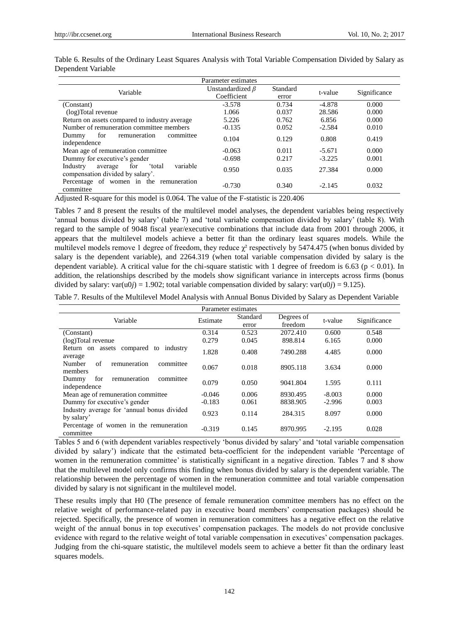| Parameter estimates                                                                             |                        |          |          |              |  |  |  |
|-------------------------------------------------------------------------------------------------|------------------------|----------|----------|--------------|--|--|--|
| Variable                                                                                        | Unstandardized $\beta$ | Standard | t-value  | Significance |  |  |  |
|                                                                                                 | Coefficient            | error    |          |              |  |  |  |
| (Constant)                                                                                      | $-3.578$               | 0.734    | $-4.878$ | 0.000        |  |  |  |
| (log)Total revenue                                                                              | 1.066                  | 0.037    | 28.586   | 0.000        |  |  |  |
| Return on assets compared to industry average                                                   | 5.226                  | 0.762    | 6.856    | 0.000        |  |  |  |
| Number of remuneration committee members                                                        | $-0.135$               | 0.052    | $-2.584$ | 0.010        |  |  |  |
| for<br>remuneration<br>Dummy<br>committee<br>independence                                       | 0.104                  | 0.129    | 0.808    | 0.419        |  |  |  |
| Mean age of remuneration committee                                                              | $-0.063$               | 0.011    | $-5.671$ | 0.000        |  |  |  |
| Dummy for executive's gender                                                                    | $-0.698$               | 0.217    | $-3.225$ | 0.001        |  |  |  |
| Industry<br>variable<br>total <sup>-</sup><br>for<br>average<br>compensation divided by salary. | 0.950                  | 0.035    | 27.384   | 0.000        |  |  |  |
| Percentage of women in the remuneration<br>committee                                            | $-0.730$               | 0.340    | $-2.145$ | 0.032        |  |  |  |

Table 6. Results of the Ordinary Least Squares Analysis with Total Variable Compensation Divided by Salary as Dependent Variable

Adjusted R-square for this model is 0.064. The value of the F-statistic is 220.406

Tables 7 and 8 present the results of the multilevel model analyses, the dependent variables being respectively 'annual bonus divided by salary' (table 7) and 'total variable compensation divided by salary' (table 8). With regard to the sample of 9048 fiscal year/executive combinations that include data from 2001 through 2006, it appears that the multilevel models achieve a better fit than the ordinary least squares models. While the multilevel models remove 1 degree of freedom, they reduce  $\chi^2$  respectively by 5474.475 (when bonus divided by salary is the dependent variable), and 2264.319 (when total variable compensation divided by salary is the dependent variable). A critical value for the chi-square statistic with 1 degree of freedom is 6.63 ( $p < 0.01$ ). In addition, the relationships described by the models show significant variance in intercepts across firms (bonus divided by salary: var(u0*j*) = 1.902; total variable compensation divided by salary: var(u0*j*) = 9.125).

Table 7. Results of the Multilevel Model Analysis with Annual Bonus Divided by Salary as Dependent Variable

| Parameter estimates                                         |          |                   |                       |          |              |  |  |
|-------------------------------------------------------------|----------|-------------------|-----------------------|----------|--------------|--|--|
| Variable                                                    | Estimate | Standard<br>error | Degrees of<br>freedom | t-value  | Significance |  |  |
| (Constant)                                                  | 0.314    | 0.523             | 2072.410              | 0.600    | 0.548        |  |  |
| (log)Total revenue                                          | 0.279    | 0.045             | 898.814               | 6.165    | 0.000        |  |  |
| Return on assets compared to industry<br>average            | 1.828    | 0.408             | 7490.288              | 4.485    | 0.000        |  |  |
| of<br>remuneration<br><b>Number</b><br>committee<br>members | 0.067    | 0.018             | 8905.118              | 3.634    | 0.000        |  |  |
| remuneration<br>for<br>committee<br>Dummy<br>independence   | 0.079    | 0.050             | 9041.804              | 1.595    | 0.111        |  |  |
| Mean age of remuneration committee                          | $-0.046$ | 0.006             | 8930.495              | $-8.003$ | 0.000        |  |  |
| Dummy for executive's gender                                | $-0.183$ | 0.061             | 8838.905              | $-2.996$ | 0.003        |  |  |
| Industry average for 'annual bonus divided<br>by salary'    | 0.923    | 0.114             | 284.315               | 8.097    | 0.000        |  |  |
| Percentage of women in the remuneration<br>committee        | $-0.319$ | 0.145             | 8970.995              | $-2.195$ | 0.028        |  |  |

Tables 5 and 6 (with dependent variables respectively 'bonus divided by salary' and 'total variable compensation divided by salary') indicate that the estimated beta-coefficient for the independent variable 'Percentage of women in the remuneration committee' is statistically significant in a negative direction. Tables 7 and 8 show that the multilevel model only confirms this finding when bonus divided by salary is the dependent variable. The relationship between the percentage of women in the remuneration committee and total variable compensation divided by salary is not significant in the multilevel model.

These results imply that H0 (The presence of female remuneration committee members has no effect on the relative weight of performance-related pay in executive board members' compensation packages) should be rejected. Specifically, the presence of women in remuneration committees has a negative effect on the relative weight of the annual bonus in top executives' compensation packages. The models do not provide conclusive evidence with regard to the relative weight of total variable compensation in executives' compensation packages. Judging from the chi-square statistic, the multilevel models seem to achieve a better fit than the ordinary least squares models.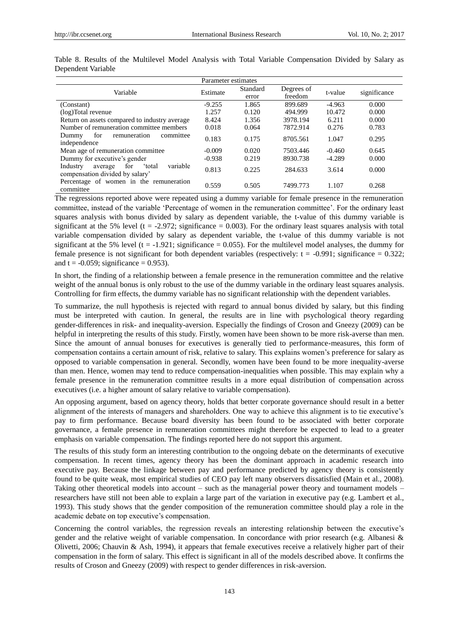| Parameter estimates                                                                             |          |                   |                       |          |              |  |
|-------------------------------------------------------------------------------------------------|----------|-------------------|-----------------------|----------|--------------|--|
| Variable                                                                                        | Estimate | Standard<br>error | Degrees of<br>freedom | t-value  | significance |  |
| (Constant)                                                                                      | $-9.255$ | 1.865             | 899.689               | $-4.963$ | 0.000        |  |
| (log)Total revenue                                                                              | 1.257    | 0.120             | 494.999               | 10.472   | 0.000        |  |
| Return on assets compared to industry average                                                   | 8.424    | 1.356             | 3978.194              | 6.211    | 0.000        |  |
| Number of remuneration committee members                                                        | 0.018    | 0.064             | 7872.914              | 0.276    | 0.783        |  |
| for<br>remuneration<br>committee<br>Dummy<br>independence                                       | 0.183    | 0.175             | 8705.561              | 1.047    | 0.295        |  |
| Mean age of remuneration committee.                                                             | $-0.009$ | 0.020             | 7503.446              | $-0.460$ | 0.645        |  |
| Dummy for executive's gender                                                                    | $-0.938$ | 0.219             | 8930.738              | $-4.289$ | 0.000        |  |
| Industry<br>for<br>variable<br>total <sup>*</sup><br>average<br>compensation divided by salary' | 0.813    | 0.225             | 284.633               | 3.614    | 0.000        |  |
| Percentage of women in the remuneration<br>committee                                            | 0.559    | 0.505             | 7499.773              | 1.107    | 0.268        |  |

Table 8. Results of the Multilevel Model Analysis with Total Variable Compensation Divided by Salary as Dependent Variable

The regressions reported above were repeated using a dummy variable for female presence in the remuneration committee, instead of the variable 'Percentage of women in the remuneration committee'. For the ordinary least squares analysis with bonus divided by salary as dependent variable, the t-value of this dummy variable is significant at the 5% level (t = -2.972; significance = 0.003). For the ordinary least squares analysis with total variable compensation divided by salary as dependent variable, the t-value of this dummy variable is not significant at the 5% level (t =  $-1.921$ ; significance = 0.055). For the multilevel model analyses, the dummy for female presence is not significant for both dependent variables (respectively:  $t = -0.991$ ; significance = 0.322; and  $t = -0.059$ ; significance = 0.953).

In short, the finding of a relationship between a female presence in the remuneration committee and the relative weight of the annual bonus is only robust to the use of the dummy variable in the ordinary least squares analysis. Controlling for firm effects, the dummy variable has no significant relationship with the dependent variables.

To summarize, the null hypothesis is rejected with regard to annual bonus divided by salary, but this finding must be interpreted with caution. In general, the results are in line with psychological theory regarding gender-differences in risk- and inequality-aversion. Especially the findings of Croson and Gneezy (2009) can be helpful in interpreting the results of this study. Firstly, women have been shown to be more risk-averse than men. Since the amount of annual bonuses for executives is generally tied to performance-measures, this form of compensation contains a certain amount of risk, relative to salary. This explains women's preference for salary as opposed to variable compensation in general. Secondly, women have been found to be more inequality-averse than men. Hence, women may tend to reduce compensation-inequalities when possible. This may explain why a female presence in the remuneration committee results in a more equal distribution of compensation across executives (i.e. a higher amount of salary relative to variable compensation).

An opposing argument, based on agency theory, holds that better corporate governance should result in a better alignment of the interests of managers and shareholders. One way to achieve this alignment is to tie executive's pay to firm performance. Because board diversity has been found to be associated with better corporate governance, a female presence in remuneration committees might therefore be expected to lead to a greater emphasis on variable compensation. The findings reported here do not support this argument.

The results of this study form an interesting contribution to the ongoing debate on the determinants of executive compensation. In recent times, agency theory has been the dominant approach in academic research into executive pay. Because the linkage between pay and performance predicted by agency theory is consistently found to be quite weak, most empirical studies of CEO pay left many observers dissatisfied (Main et al., 2008). Taking other theoretical models into account – such as the managerial power theory and tournament models – researchers have still not been able to explain a large part of the variation in executive pay (e.g. Lambert et al., 1993). This study shows that the gender composition of the remuneration committee should play a role in the academic debate on top executive's compensation.

Concerning the control variables, the regression reveals an interesting relationship between the executive's gender and the relative weight of variable compensation. In concordance with prior research (e.g. Albanesi & Olivetti, 2006; Chauvin & Ash, 1994), it appears that female executives receive a relatively higher part of their compensation in the form of salary. This effect is significant in all of the models described above. It confirms the results of Croson and Gneezy (2009) with respect to gender differences in risk-aversion.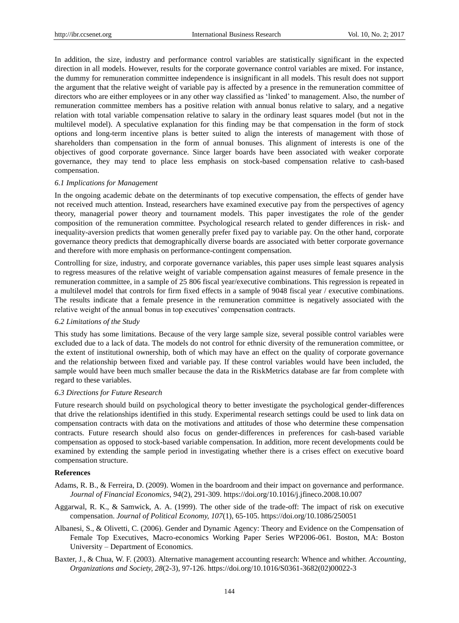In addition, the size, industry and performance control variables are statistically significant in the expected direction in all models. However, results for the corporate governance control variables are mixed. For instance, the dummy for remuneration committee independence is insignificant in all models. This result does not support the argument that the relative weight of variable pay is affected by a presence in the remuneration committee of directors who are either employees or in any other way classified as 'linked' to management. Also, the number of remuneration committee members has a positive relation with annual bonus relative to salary, and a negative relation with total variable compensation relative to salary in the ordinary least squares model (but not in the multilevel model). A speculative explanation for this finding may be that compensation in the form of stock options and long-term incentive plans is better suited to align the interests of management with those of shareholders than compensation in the form of annual bonuses. This alignment of interests is one of the objectives of good corporate governance. Since larger boards have been associated with weaker corporate governance, they may tend to place less emphasis on stock-based compensation relative to cash-based compensation.

#### *6.1 Implications for Management*

In the ongoing academic debate on the determinants of top executive compensation, the effects of gender have not received much attention. Instead, researchers have examined executive pay from the perspectives of agency theory, managerial power theory and tournament models. This paper investigates the role of the gender composition of the remuneration committee. Psychological research related to gender differences in risk- and inequality-aversion predicts that women generally prefer fixed pay to variable pay. On the other hand, corporate governance theory predicts that demographically diverse boards are associated with better corporate governance and therefore with more emphasis on performance-contingent compensation.

Controlling for size, industry, and corporate governance variables, this paper uses simple least squares analysis to regress measures of the relative weight of variable compensation against measures of female presence in the remuneration committee, in a sample of 25 806 fiscal year/executive combinations. This regression is repeated in a multilevel model that controls for firm fixed effects in a sample of 9048 fiscal year / executive combinations. The results indicate that a female presence in the remuneration committee is negatively associated with the relative weight of the annual bonus in top executives' compensation contracts.

#### *6.2 Limitations of the Study*

This study has some limitations. Because of the very large sample size, several possible control variables were excluded due to a lack of data. The models do not control for ethnic diversity of the remuneration committee, or the extent of institutional ownership, both of which may have an effect on the quality of corporate governance and the relationship between fixed and variable pay. If these control variables would have been included, the sample would have been much smaller because the data in the RiskMetrics database are far from complete with regard to these variables.

#### *6.3 Directions for Future Research*

Future research should build on psychological theory to better investigate the psychological gender-differences that drive the relationships identified in this study. Experimental research settings could be used to link data on compensation contracts with data on the motivations and attitudes of those who determine these compensation contracts. Future research should also focus on gender-differences in preferences for cash-based variable compensation as opposed to stock-based variable compensation. In addition, more recent developments could be examined by extending the sample period in investigating whether there is a crises effect on executive board compensation structure.

#### **References**

- Adams, R. B., & Ferreira, D. (2009). Women in the boardroom and their impact on governance and performance. *Journal of Financial Economics, 94*(2), 291-309.<https://doi.org/10.1016/j.jfineco.2008.10.007>
- Aggarwal, R. K., & Samwick, A. A. (1999). The other side of the trade-off: The impact of risk on executive compensation. *Journal of Political Economy, 107*(1), 65-105.<https://doi.org/10.1086/250051>
- Albanesi, S., & Olivetti, C. (2006). Gender and Dynamic Agency: Theory and Evidence on the Compensation of Female Top Executives, Macro-economics Working Paper Series WP2006-061*.* Boston, MA: Boston University – Department of Economics.
- Baxter, J., & Chua, W. F. (2003). Alternative management accounting research: Whence and whither. *Accounting, Organizations and Society, 28*(2-3), 97-126[. https://doi.org/10.1016/S0361-3682\(02\)00022-3](https://doi.org/10.1016/S0361-3682(02)00022-3)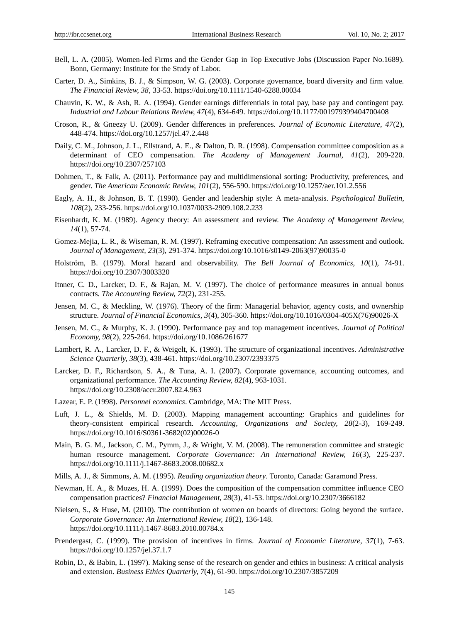- Bell, L. A. (2005). Women-led Firms and the Gender Gap in Top Executive Jobs (Discussion Paper No.1689). Bonn, Germany: Institute for the Study of Labor.
- Carter, D. A., Simkins, B. J., & Simpson, W. G. (2003). Corporate governance, board diversity and firm value. *The Financial Review, 38,* 33-53.<https://doi.org/10.1111/1540-6288.00034>
- Chauvin, K. W., & Ash, R. A. (1994). Gender earnings differentials in total pay, base pay and contingent pay. *Industrial and Labour Relations Review, 47*(4), 634-649[. https://doi.org/10.1177/001979399404700408](https://doi.org/10.1177/001979399404700408)
- Croson, R., & Gneezy U. (2009). Gender differences in preferences. *Journal of Economic Literature, 47*(2), 448-474.<https://doi.org/10.1257/jel.47.2.448>
- Daily, C. M., Johnson, J. L., Ellstrand, A. E., & Dalton, D. R. (1998). Compensation committee composition as a determinant of CEO compensation. *The Academy of Management Journal, 41*(2), 209-220. <https://doi.org/10.2307/257103>
- Dohmen, T., & Falk, A. (2011). Performance pay and multidimensional sorting: Productivity, preferences, and gender. *The American Economic Review, 101*(2), 556-590.<https://doi.org/10.1257/aer.101.2.556>
- Eagly, A. H., & Johnson, B. T. (1990). Gender and leadership style: A meta-analysis. *Psychological Bulletin, 108*(2), 233-256.<https://doi.org/10.1037/0033-2909.108.2.233>
- Eisenhardt, K. M. (1989). Agency theory: An assessment and review. *The Academy of Management Review, 14*(1), 57-74.
- Gomez-Mejia, L. R., & Wiseman, R. M. (1997). Reframing executive compensation: An assessment and outlook. *Journal of Management, 23*(3), 291-374. [https://doi.org/10.1016/s0149-2063\(97\)90035-0](https://doi.org/10.1016/s0149-2063(97)90035-0)
- Holström, B. (1979). Moral hazard and observability. *The Bell Journal of Economics, 10*(1), 74-91. <https://doi.org/10.2307/3003320>
- Itnner, C. D., Larcker, D. F., & Rajan, M. V. (1997). The choice of performance measures in annual bonus contracts. *The Accounting Review, 72*(2), 231-255.
- Jensen, M. C., & Meckling, W. (1976). Theory of the firm: Managerial behavior, agency costs, and ownership structure. *Journal of Financial Economics, 3*(4), 305-360. [https://doi.org/10.1016/0304-405X\(76\)90026-X](https://doi.org/10.1016/0304-405X(76)90026-X)
- Jensen, M. C., & Murphy, K. J. (1990). Performance pay and top management incentives. *Journal of Political Economy, 98*(2), 225-264[. https://doi.org/10.1086/261677](https://doi.org/10.1086/261677)
- Lambert, R. A., Larcker, D. F., & Weigelt, K. (1993). The structure of organizational incentives. *Administrative Science Quarterly, 38*(3), 438-461.<https://doi.org/10.2307/2393375>
- Larcker, D. F., Richardson, S. A., & Tuna, A. I. (2007). Corporate governance, accounting outcomes, and organizational performance. *The Accounting Review, 82*(4), 963-1031. <https://doi.org/10.2308/accr.2007.82.4.963>
- Lazear, E. P. (1998). *Personnel economics*. Cambridge, MA: The MIT Press.
- Luft, J. L., & Shields, M. D. (2003). Mapping management accounting: Graphics and guidelines for theory-consistent empirical research. *Accounting, Organizations and Society, 28*(2-3), 169-249. [https://doi.org/10.1016/S0361-3682\(02\)00026-0](https://doi.org/10.1016/S0361-3682(02)00026-0)
- Main, B. G. M., Jackson, C. M., Pymm, J., & Wright, V. M. (2008). The remuneration committee and strategic human resource management. *Corporate Governance: An International Review, 16*(3), 225-237. <https://doi.org/10.1111/j.1467-8683.2008.00682.x>
- Mills, A. J., & Simmons, A. M. (1995). *Reading organization theory*. Toronto, Canada: Garamond Press.
- Newman, H. A., & Mozes, H. A. (1999). Does the composition of the compensation committee influence CEO compensation practices? *Financial Management, 28*(3), 41-53.<https://doi.org/10.2307/3666182>
- Nielsen, S., & Huse, M. (2010). The contribution of women on boards of directors: Going beyond the surface. *Corporate Governance: An International Review, 18*(2), 136-148. <https://doi.org/10.1111/j.1467-8683.2010.00784.x>
- Prendergast, C. (1999). The provision of incentives in firms. *Journal of Economic Literature, 37*(1), 7-63. <https://doi.org/10.1257/jel.37.1.7>
- Robin, D., & Babin, L. (1997). Making sense of the research on gender and ethics in business: A critical analysis and extension. *Business Ethics Quarterly, 7*(4), 61-90.<https://doi.org/10.2307/3857209>